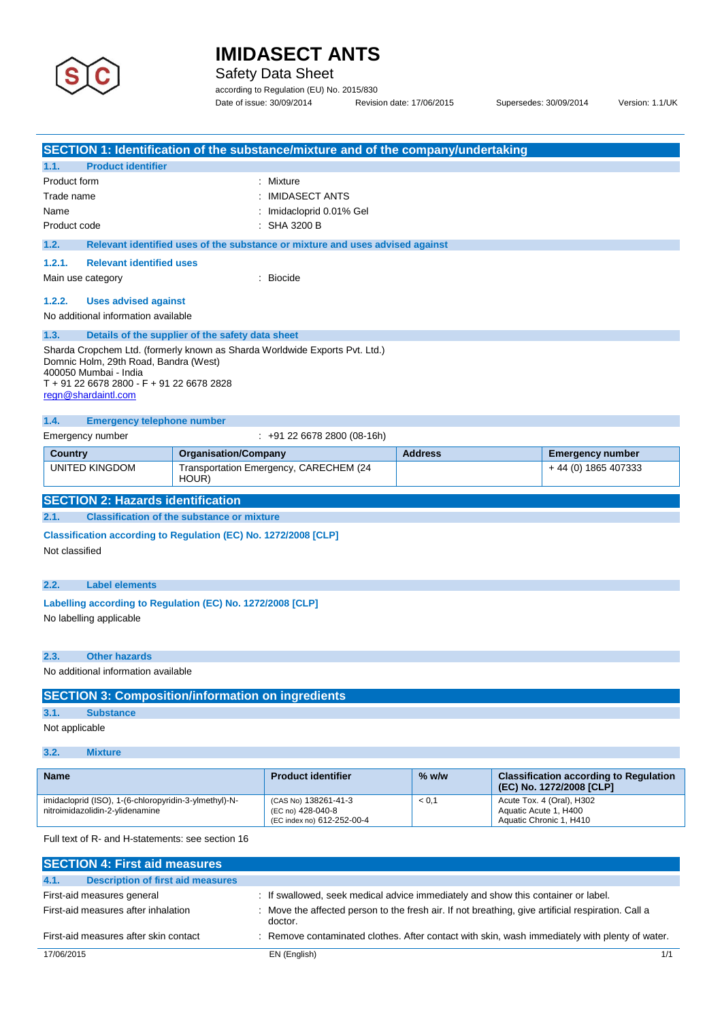

Safety Data Sheet

according to Regulation (EU) No. 2015/830 Date of issue: 30/09/2014 Revision date: 17/06/2015 Supersedes: 30/09/2014 Version: 1.1/UK

| SECTION 1: Identification of the substance/mixture and of the company/undertaking                           |                             |                                                                               |                |                       |                                                                                  |
|-------------------------------------------------------------------------------------------------------------|-----------------------------|-------------------------------------------------------------------------------|----------------|-----------------------|----------------------------------------------------------------------------------|
| 1.1.<br><b>Product identifier</b><br>Product form                                                           |                             | : Mixture                                                                     |                |                       |                                                                                  |
| Trade name                                                                                                  |                             | : IMIDASECT ANTS                                                              |                |                       |                                                                                  |
| Name                                                                                                        |                             | Imidacloprid 0.01% Gel                                                        |                |                       |                                                                                  |
| Product code                                                                                                |                             | $:$ SHA 3200 B                                                                |                |                       |                                                                                  |
| 1.2.                                                                                                        |                             | Relevant identified uses of the substance or mixture and uses advised against |                |                       |                                                                                  |
| 1.2.1.<br><b>Relevant identified uses</b>                                                                   |                             |                                                                               |                |                       |                                                                                  |
| Main use category                                                                                           |                             | : Biocide                                                                     |                |                       |                                                                                  |
| 1.2.2.<br><b>Uses advised against</b>                                                                       |                             |                                                                               |                |                       |                                                                                  |
| No additional information available                                                                         |                             |                                                                               |                |                       |                                                                                  |
| 1.3.<br>Details of the supplier of the safety data sheet                                                    |                             |                                                                               |                |                       |                                                                                  |
| Sharda Cropchem Ltd. (formerly known as Sharda Worldwide Exports Pvt. Ltd.)                                 |                             |                                                                               |                |                       |                                                                                  |
| Domnic Holm, 29th Road, Bandra (West)<br>400050 Mumbai - India<br>T + 91 22 6678 2800 - F + 91 22 6678 2828 |                             |                                                                               |                |                       |                                                                                  |
| regn@shardaintl.com                                                                                         |                             |                                                                               |                |                       |                                                                                  |
| 1.4.<br><b>Emergency telephone number</b>                                                                   |                             |                                                                               |                |                       |                                                                                  |
| Emergency number                                                                                            |                             | $: +912266782800(08-16h)$                                                     |                |                       |                                                                                  |
| <b>Country</b>                                                                                              | <b>Organisation/Company</b> |                                                                               | <b>Address</b> |                       | <b>Emergency number</b>                                                          |
| <b>UNITED KINGDOM</b>                                                                                       | HOUR)                       | Transportation Emergency, CARECHEM (24                                        |                |                       | + 44 (0) 1865 407333                                                             |
| <b>SECTION 2: Hazards identification</b>                                                                    |                             |                                                                               |                |                       |                                                                                  |
| 2.1.<br><b>Classification of the substance or mixture</b>                                                   |                             |                                                                               |                |                       |                                                                                  |
| Classification according to Regulation (EC) No. 1272/2008 [CLP]                                             |                             |                                                                               |                |                       |                                                                                  |
| Not classified                                                                                              |                             |                                                                               |                |                       |                                                                                  |
| <b>Label elements</b><br>2.2.                                                                               |                             |                                                                               |                |                       |                                                                                  |
| Labelling according to Regulation (EC) No. 1272/2008 [CLP]                                                  |                             |                                                                               |                |                       |                                                                                  |
| No labelling applicable                                                                                     |                             |                                                                               |                |                       |                                                                                  |
|                                                                                                             |                             |                                                                               |                |                       |                                                                                  |
| 2.3.<br><b>Other hazards</b>                                                                                |                             |                                                                               |                |                       |                                                                                  |
| No additional information available                                                                         |                             |                                                                               |                |                       |                                                                                  |
| <b>SECTION 3: Composition/information on ingredients</b>                                                    |                             |                                                                               |                |                       |                                                                                  |
| 3.1.<br><b>Substance</b>                                                                                    |                             |                                                                               |                |                       |                                                                                  |
| Not applicable                                                                                              |                             |                                                                               |                |                       |                                                                                  |
|                                                                                                             |                             |                                                                               |                |                       |                                                                                  |
| 3.2.<br><b>Mixture</b>                                                                                      |                             |                                                                               |                |                       |                                                                                  |
| <b>Name</b>                                                                                                 |                             | <b>Product identifier</b>                                                     | $%$ w/w        |                       | <b>Classification according to Regulation</b>                                    |
| imidacloprid (ISO), 1-(6-chloropyridin-3-ylmethyl)-N-<br>nitroimidazolidin-2-ylidenamine                    |                             | (CAS No) 138261-41-3<br>(EC no) 428-040-8<br>(EC index no) 612-252-00-4       | < 0,1          | Aquatic Acute 1, H400 | (EC) No. 1272/2008 [CLP]<br>Acute Tox. 4 (Oral), H302<br>Aquatic Chronic 1, H410 |

| <b>SECTION 4: First aid measures</b>             |                                                                                                               |
|--------------------------------------------------|---------------------------------------------------------------------------------------------------------------|
| <b>Description of first aid measures</b><br>4.1. |                                                                                                               |
| First-aid measures general                       | : If swallowed, seek medical advice immediately and show this container or label.                             |
| First-aid measures after inhalation              | : Move the affected person to the fresh air. If not breathing, give artificial respiration. Call a<br>doctor. |
| First-aid measures after skin contact            | : Remove contaminated clothes. After contact with skin, wash immediately with plenty of water.                |
| 17/06/2015                                       | EN (English)<br>1/1                                                                                           |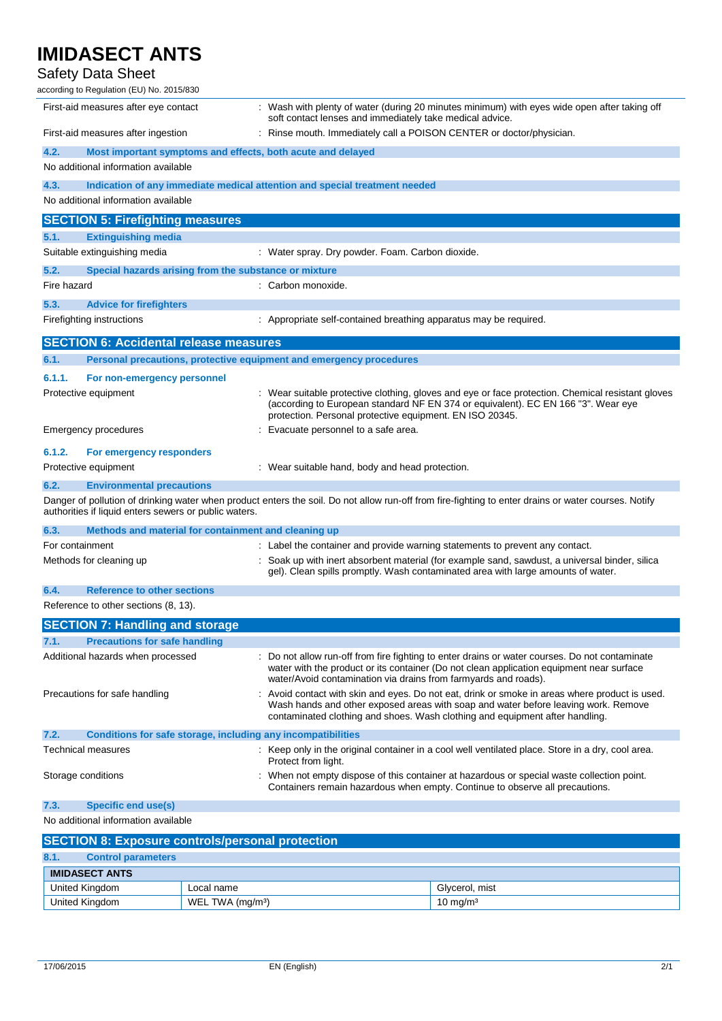## Safety Data Sheet

| according to Regulation (EU) No. 2015/830                                   |                                                                                                                                                                                                                                                                    |
|-----------------------------------------------------------------------------|--------------------------------------------------------------------------------------------------------------------------------------------------------------------------------------------------------------------------------------------------------------------|
| First-aid measures after eye contact                                        | : Wash with plenty of water (during 20 minutes minimum) with eyes wide open after taking off<br>soft contact lenses and immediately take medical advice.                                                                                                           |
| First-aid measures after ingestion                                          | : Rinse mouth. Immediately call a POISON CENTER or doctor/physician.                                                                                                                                                                                               |
| 4.2.<br>Most important symptoms and effects, both acute and delayed         |                                                                                                                                                                                                                                                                    |
| No additional information available                                         |                                                                                                                                                                                                                                                                    |
| 4.3.                                                                        | Indication of any immediate medical attention and special treatment needed                                                                                                                                                                                         |
| No additional information available                                         |                                                                                                                                                                                                                                                                    |
| <b>SECTION 5: Firefighting measures</b>                                     |                                                                                                                                                                                                                                                                    |
| 5.1.<br><b>Extinguishing media</b>                                          |                                                                                                                                                                                                                                                                    |
| Suitable extinguishing media                                                | : Water spray. Dry powder. Foam. Carbon dioxide.                                                                                                                                                                                                                   |
| 5.2.<br>Special hazards arising from the substance or mixture               |                                                                                                                                                                                                                                                                    |
| Fire hazard                                                                 | : Carbon monoxide.                                                                                                                                                                                                                                                 |
| 5.3.<br><b>Advice for firefighters</b>                                      |                                                                                                                                                                                                                                                                    |
| Firefighting instructions                                                   | : Appropriate self-contained breathing apparatus may be required.                                                                                                                                                                                                  |
| <b>SECTION 6: Accidental release measures</b>                               |                                                                                                                                                                                                                                                                    |
| 6.1.<br>Personal precautions, protective equipment and emergency procedures |                                                                                                                                                                                                                                                                    |
| 6.1.1.<br>For non-emergency personnel                                       |                                                                                                                                                                                                                                                                    |
| Protective equipment                                                        | : Wear suitable protective clothing, gloves and eye or face protection. Chemical resistant gloves                                                                                                                                                                  |
|                                                                             | (according to European standard NF EN 374 or equivalent). EC EN 166 "3". Wear eye<br>protection. Personal protective equipment. EN ISO 20345.                                                                                                                      |
| Emergency procedures                                                        | : Evacuate personnel to a safe area.                                                                                                                                                                                                                               |
| 6.1.2.<br>For emergency responders                                          |                                                                                                                                                                                                                                                                    |
| Protective equipment                                                        | : Wear suitable hand, body and head protection.                                                                                                                                                                                                                    |
| 6.2.<br><b>Environmental precautions</b>                                    |                                                                                                                                                                                                                                                                    |
| authorities if liquid enters sewers or public waters.                       | Danger of pollution of drinking water when product enters the soil. Do not allow run-off from fire-fighting to enter drains or water courses. Notify                                                                                                               |
| 6.3.<br>Methods and material for containment and cleaning up                |                                                                                                                                                                                                                                                                    |
| For containment                                                             | : Label the container and provide warning statements to prevent any contact.                                                                                                                                                                                       |
| Methods for cleaning up                                                     | : Soak up with inert absorbent material (for example sand, sawdust, a universal binder, silica<br>gel). Clean spills promptly. Wash contaminated area with large amounts of water.                                                                                 |
| 6.4.<br><b>Reference to other sections</b>                                  |                                                                                                                                                                                                                                                                    |
| Reference to other sections (8, 13).                                        |                                                                                                                                                                                                                                                                    |
| <b>SECTION 7: Handling and storage</b>                                      |                                                                                                                                                                                                                                                                    |
| 7.1.<br><b>Precautions for safe handling</b>                                |                                                                                                                                                                                                                                                                    |
| Additional hazards when processed                                           | : Do not allow run-off from fire fighting to enter drains or water courses. Do not contaminate<br>water with the product or its container (Do not clean application equipment near surface                                                                         |
|                                                                             | water/Avoid contamination via drains from farmyards and roads).                                                                                                                                                                                                    |
| Precautions for safe handling                                               | Avoid contact with skin and eyes. Do not eat, drink or smoke in areas where product is used.<br>Wash hands and other exposed areas with soap and water before leaving work. Remove<br>contaminated clothing and shoes. Wash clothing and equipment after handling. |
| 7.2.<br><b>Conditions for safe storage, including any incompatibilities</b> |                                                                                                                                                                                                                                                                    |
| <b>Technical measures</b>                                                   | : Keep only in the original container in a cool well ventilated place. Store in a dry, cool area.<br>Protect from light.                                                                                                                                           |
| Storage conditions                                                          | When not empty dispose of this container at hazardous or special waste collection point.<br>Containers remain hazardous when empty. Continue to observe all precautions.                                                                                           |
| 7.3.<br><b>Specific end use(s)</b>                                          |                                                                                                                                                                                                                                                                    |
| No additional information available                                         |                                                                                                                                                                                                                                                                    |
| <b>SECTION 8: Exposure controls/personal protection</b>                     |                                                                                                                                                                                                                                                                    |
|                                                                             |                                                                                                                                                                                                                                                                    |

| 8.1.<br><b>Control parameters</b> |                              |                     |
|-----------------------------------|------------------------------|---------------------|
| <b>IMIDASECT ANTS</b>             |                              |                     |
| United Kingdom                    | Local name                   | Givcerol, mist      |
| United Kingdom                    | WEL TWA (mg/m <sup>3</sup> ) | $10 \text{ ma/m}^3$ |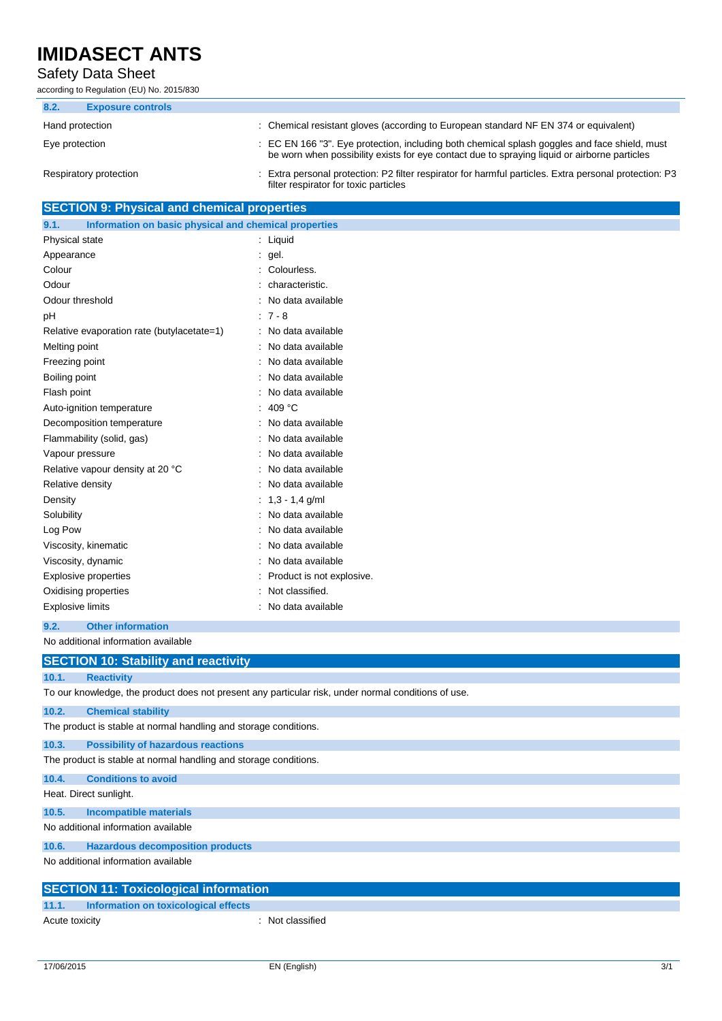### Safety Data Sheet

according to Regulation (EU) No. 2015/830

| 8.2. | <b>Exposure controls</b> |                                                                                                                                                                                               |
|------|--------------------------|-----------------------------------------------------------------------------------------------------------------------------------------------------------------------------------------------|
|      | Hand protection          | : Chemical resistant gloves (according to European standard NF EN 374 or equivalent)                                                                                                          |
|      | Eye protection           | : EC EN 166 "3". Eye protection, including both chemical splash goggles and face shield, must<br>be worn when possibility exists for eye contact due to spraying liquid or airborne particles |
|      | Respiratory protection   | Extra personal protection: P2 filter respirator for harmful particles. Extra personal protection: P3<br>filter respirator for toxic particles                                                 |

## **SECTION 9: Physical and chemical properties**

| 9.1.                        | Information on basic physical and chemical properties |    |                           |
|-----------------------------|-------------------------------------------------------|----|---------------------------|
| Physical state              |                                                       |    | Liquid                    |
| Appearance                  |                                                       | ÷. | gel.                      |
| Colour                      |                                                       |    | Colourless.               |
| Odour                       |                                                       |    | characteristic.           |
| Odour threshold             |                                                       |    | No data available         |
| рH                          |                                                       |    | $:7 - 8$                  |
|                             | Relative evaporation rate (butylacetate=1)            |    | No data available         |
| Melting point               |                                                       |    | No data available         |
| Freezing point              |                                                       |    | No data available         |
| Boiling point               |                                                       |    | No data available         |
| Flash point                 |                                                       |    | No data available         |
| Auto-ignition temperature   |                                                       |    | 409 $°C$                  |
| Decomposition temperature   |                                                       |    | No data available         |
| Flammability (solid, gas)   |                                                       |    | No data available         |
| Vapour pressure             |                                                       |    | No data available         |
|                             | Relative vapour density at 20 °C                      |    | No data available         |
| Relative density            |                                                       |    | No data available         |
| Density                     |                                                       |    | $1,3 - 1,4$ g/ml          |
| Solubility                  |                                                       |    | No data available         |
| Log Pow                     |                                                       |    | No data available         |
| Viscosity, kinematic        |                                                       |    | No data available         |
| Viscosity, dynamic          |                                                       |    | No data available         |
| <b>Explosive properties</b> |                                                       |    | Product is not explosive. |
| Oxidising properties        |                                                       |    | Not classified.           |
| <b>Explosive limits</b>     |                                                       |    | No data available         |

#### **9.2. Other information**

No additional information available

| <b>SECTION 10: Stability and reactivity</b>                      |                                                                                                     |
|------------------------------------------------------------------|-----------------------------------------------------------------------------------------------------|
| 10.1.<br><b>Reactivity</b>                                       |                                                                                                     |
|                                                                  | To our knowledge, the product does not present any particular risk, under normal conditions of use. |
| <b>Chemical stability</b><br>10.2.                               |                                                                                                     |
| The product is stable at normal handling and storage conditions. |                                                                                                     |
| 10.3.<br><b>Possibility of hazardous reactions</b>               |                                                                                                     |
| The product is stable at normal handling and storage conditions. |                                                                                                     |
| <b>Conditions to avoid</b><br>10.4.                              |                                                                                                     |
| Heat. Direct sunlight.                                           |                                                                                                     |
| 10.5.<br><b>Incompatible materials</b>                           |                                                                                                     |
| No additional information available                              |                                                                                                     |
| 10.6.<br><b>Hazardous decomposition products</b>                 |                                                                                                     |
| No additional information available                              |                                                                                                     |
| <b>SECTION 11: Toxicological information</b>                     |                                                                                                     |
| Information on toxicological effects<br>11.1.                    |                                                                                                     |
| Acute toxicity                                                   | : Not classified                                                                                    |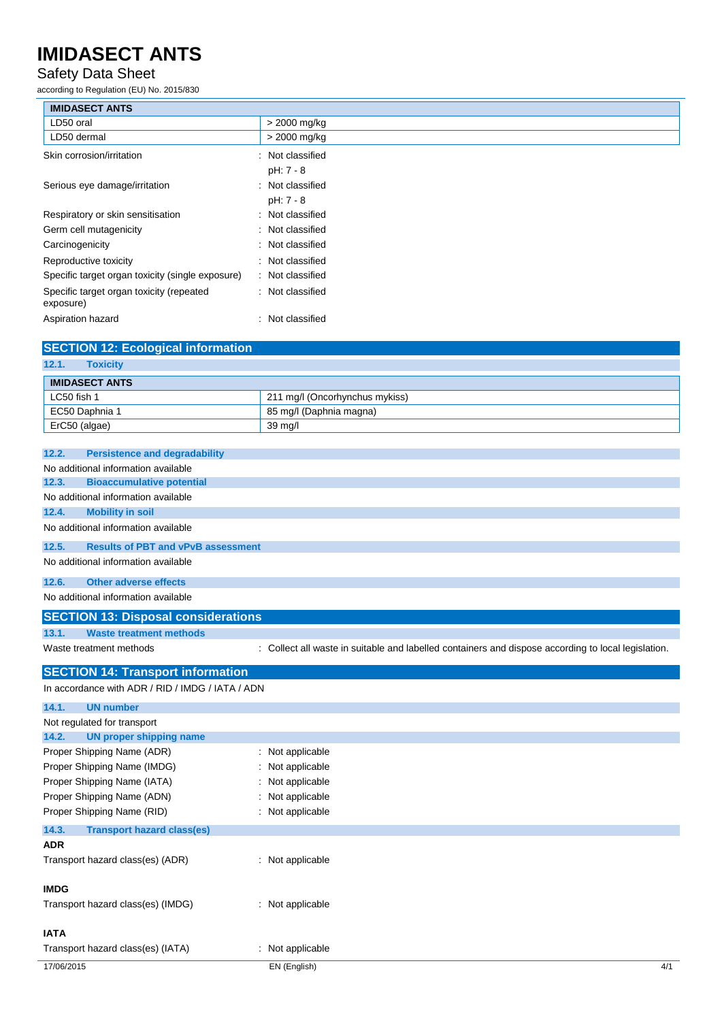### Safety Data Sheet

according to Regulation (EU) No. 2015/830

| <b>IMIDASECT ANTS</b>                                 |                               |
|-------------------------------------------------------|-------------------------------|
| LD50 oral                                             | > 2000 mg/kg                  |
| LD50 dermal                                           | > 2000 mg/kg                  |
| Skin corrosion/irritation                             | : Not classified<br>pH: 7 - 8 |
| Serious eye damage/irritation                         | : Not classified<br>pH: 7 - 8 |
| Respiratory or skin sensitisation                     | : Not classified              |
| Germ cell mutagenicity                                | : Not classified              |
| Carcinogenicity                                       | : Not classified              |
| Reproductive toxicity                                 | : Not classified              |
| Specific target organ toxicity (single exposure)      | : Not classified              |
| Specific target organ toxicity (repeated<br>exposure) | : Not classified              |
| Aspiration hazard                                     | : Not classified              |
| <b>SECTION 12: Ecological information</b>             |                               |
| 12.1.<br><b>Toxicity</b>                              |                               |

| <b>IMIDASECT ANTS</b> |                                |
|-----------------------|--------------------------------|
| LC50 fish 1           | 211 mg/l (Oncorhynchus mykiss) |
| EC50 Daphnia 1        | 85 mg/l (Daphnia magna)        |
| ErC50 (algae)         | 39 mg/l                        |

| 12.2.<br><b>Persistence and degradability</b>      |                                                                                                   |
|----------------------------------------------------|---------------------------------------------------------------------------------------------------|
| No additional information available                |                                                                                                   |
| <b>Bioaccumulative potential</b><br>12.3.          |                                                                                                   |
| No additional information available                |                                                                                                   |
| <b>Mobility in soil</b><br>12.4.                   |                                                                                                   |
| No additional information available                |                                                                                                   |
| 12.5.<br><b>Results of PBT and vPvB assessment</b> |                                                                                                   |
| No additional information available                |                                                                                                   |
| <b>Other adverse effects</b><br>12.6.              |                                                                                                   |
| No additional information available                |                                                                                                   |
| <b>SECTION 13: Disposal considerations</b>         |                                                                                                   |
| <b>Waste treatment methods</b><br>13.1.            |                                                                                                   |
| Waste treatment methods                            | Collect all waste in suitable and labelled containers and dispose according to local legislation. |
| <b>SECTION 14: Transport information</b>           |                                                                                                   |
| In accordance with ADR / RID / IMDG / IATA / ADN   |                                                                                                   |
| 14.1.<br><b>UN number</b>                          |                                                                                                   |
| Not regulated for transport                        |                                                                                                   |
| 14.2.<br><b>UN proper shipping name</b>            |                                                                                                   |
| Proper Shipping Name (ADR)                         | Not applicable                                                                                    |
| Proper Shipping Name (IMDG)                        | Not applicable                                                                                    |
| Proper Shipping Name (IATA)                        | Not applicable                                                                                    |
| Proper Shipping Name (ADN)                         | Not applicable                                                                                    |
| Proper Shipping Name (RID)                         | Not applicable                                                                                    |
| 14.3.<br><b>Transport hazard class(es)</b>         |                                                                                                   |
| <b>ADR</b>                                         |                                                                                                   |
| Transport hazard class(es) (ADR)                   | : Not applicable                                                                                  |
| <b>IMDG</b>                                        |                                                                                                   |
|                                                    |                                                                                                   |
| Transport hazard class(es) (IMDG)                  | Not applicable                                                                                    |

#### **IATA**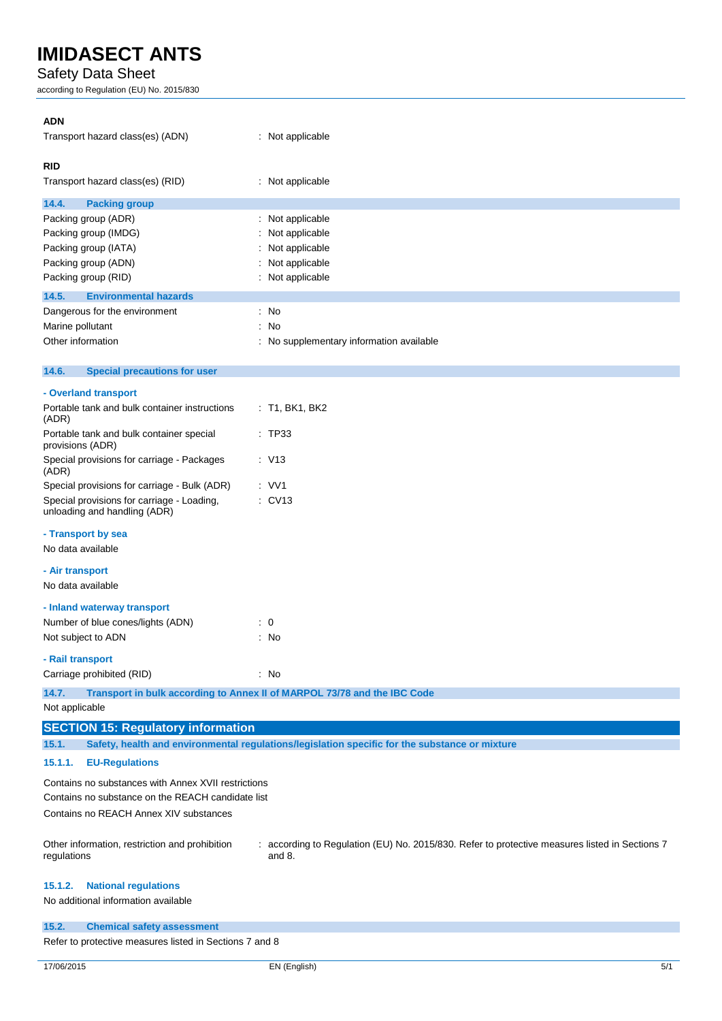### Safety Data Sheet

according to Regulation (EU) No. 2015/830

| <b>ADN</b><br>Transport hazard class(es) (ADN)                                                           | : Not applicable                                                                                         |
|----------------------------------------------------------------------------------------------------------|----------------------------------------------------------------------------------------------------------|
| <b>RID</b>                                                                                               |                                                                                                          |
| Transport hazard class(es) (RID)                                                                         | : Not applicable                                                                                         |
| 14.4.<br><b>Packing group</b>                                                                            |                                                                                                          |
| Packing group (ADR)                                                                                      | Not applicable                                                                                           |
| Packing group (IMDG)                                                                                     | Not applicable                                                                                           |
| Packing group (IATA)                                                                                     | Not applicable                                                                                           |
| Packing group (ADN)<br>Packing group (RID)                                                               | Not applicable<br>: Not applicable                                                                       |
| <b>Environmental hazards</b><br>14.5.                                                                    |                                                                                                          |
| Dangerous for the environment                                                                            | : No                                                                                                     |
| Marine pollutant                                                                                         | No<br>÷                                                                                                  |
| Other information                                                                                        | No supplementary information available<br>÷                                                              |
| 14.6.<br><b>Special precautions for user</b>                                                             |                                                                                                          |
| - Overland transport                                                                                     |                                                                                                          |
| Portable tank and bulk container instructions<br>(ADR)                                                   | : T1, BK1, BK2                                                                                           |
| Portable tank and bulk container special<br>provisions (ADR)                                             | : TP33                                                                                                   |
| Special provisions for carriage - Packages<br>(ADR)                                                      | : V13                                                                                                    |
| Special provisions for carriage - Bulk (ADR)                                                             | $:$ VV1                                                                                                  |
| Special provisions for carriage - Loading,<br>unloading and handling (ADR)                               | $:$ CV13                                                                                                 |
| - Transport by sea                                                                                       |                                                                                                          |
| No data available                                                                                        |                                                                                                          |
| - Air transport                                                                                          |                                                                                                          |
| No data available                                                                                        |                                                                                                          |
| - Inland waterway transport                                                                              |                                                                                                          |
| Number of blue cones/lights (ADN)                                                                        | $\therefore$ 0                                                                                           |
| Not subject to ADN                                                                                       | : No                                                                                                     |
| - Rail transport<br>Carriage prohibited (RID)                                                            | : No                                                                                                     |
|                                                                                                          |                                                                                                          |
| 14.7.<br>Not applicable                                                                                  | Transport in bulk according to Annex II of MARPOL 73/78 and the IBC Code                                 |
|                                                                                                          |                                                                                                          |
| <b>SECTION 15: Regulatory information</b><br>15.1.                                                       | Safety, health and environmental regulations/legislation specific for the substance or mixture           |
| 15.1.1.<br><b>EU-Regulations</b>                                                                         |                                                                                                          |
| Contains no substances with Annex XVII restrictions<br>Contains no substance on the REACH candidate list |                                                                                                          |
| Contains no REACH Annex XIV substances                                                                   |                                                                                                          |
|                                                                                                          |                                                                                                          |
| Other information, restriction and prohibition<br>regulations                                            | : according to Regulation (EU) No. 2015/830. Refer to protective measures listed in Sections 7<br>and 8. |
| 15.1.2.<br><b>National regulations</b>                                                                   |                                                                                                          |
| No additional information available                                                                      |                                                                                                          |
|                                                                                                          |                                                                                                          |
| 15.2.<br><b>Chemical safety assessment</b>                                                               |                                                                                                          |

Refer to protective measures listed in Sections 7 and 8